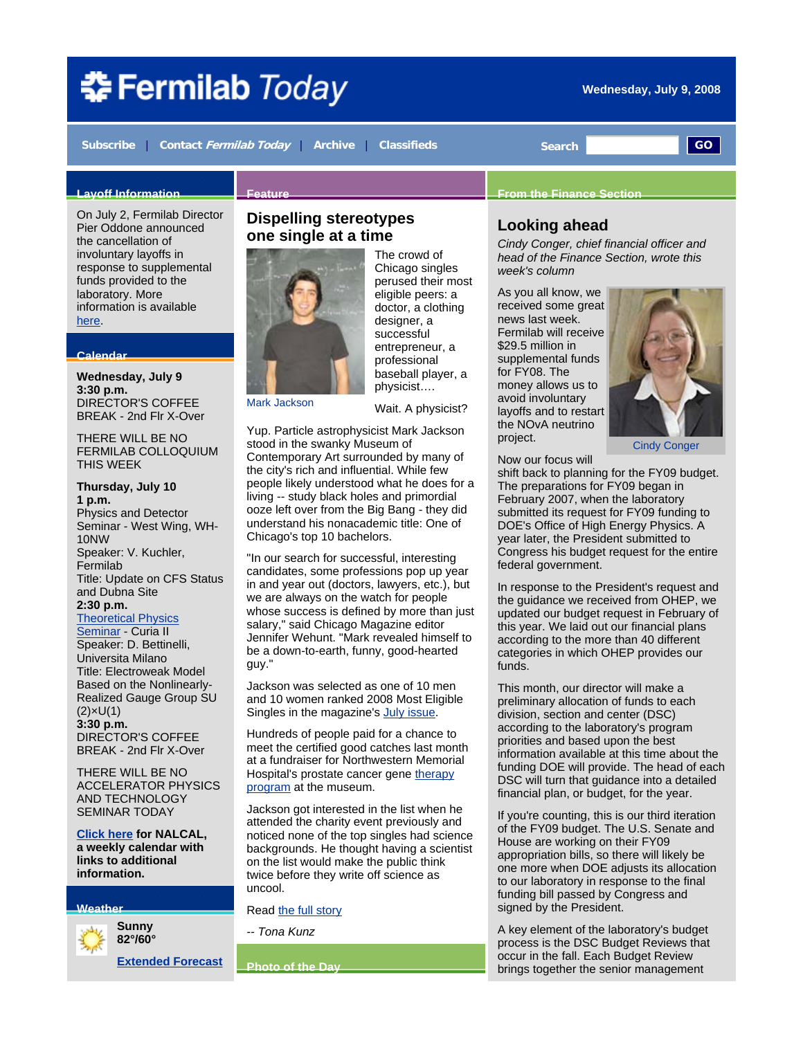# 추 Fermilab Today

**Wednesday, July 9, 2008** 

**Subscribe** | **Contact Fermilab Today** | **Archive** | **Classifieds Search GO**

#### **Layoff Information**

On July 2, Fermilab Director Pier Oddone announced the cancellation of involuntary layoffs in response to supplemental funds provided to the laboratory. More information is available here.

#### **Calendar**

**Wednesday, July 9 3:30 p.m.** DIRECTOR'S COFFEE BREAK - 2nd Flr X-Over

THERE WILL BE NO FERMILAB COLLOQUIUM THIS WEEK

**Thursday, July 10 1 p.m.**  Physics and Detector Seminar - West Wing, WH-10NW Speaker: V. Kuchler, Fermilab Title: Update on CFS Status and Dubna Site **2:30 p.m.**

Theoretical Physics

Seminar - Curia II Speaker: D. Bettinelli, Universita Milano Title: Electroweak Model Based on the Nonlinearly-Realized Gauge Group SU (2)×U(1) **3:30 p.m.**  DIRECTOR'S COFFEE BREAK - 2nd Flr X-Over

THERE WILL BE NO ACCELERATOR PHYSICS AND TECHNOLOGY SEMINAR TODAY

**Click here for NALCAL, a weekly calendar with links to additional information.**

#### **Weather**



**Extended Forecast**

#### **Dispelling stereotypes one single at a time**



**Feature** 

Mark Jackson

The crowd of Chicago singles perused their most eligible peers: a doctor, a clothing designer, a successful entrepreneur, a professional baseball player, a physicist….

Wait. A physicist?

Yup. Particle astrophysicist Mark Jackson stood in the swanky Museum of Contemporary Art surrounded by many of the city's rich and influential. While few people likely understood what he does for a living -- study black holes and primordial ooze left over from the Big Bang - they did understand his nonacademic title: One of Chicago's top 10 bachelors.

"In our search for successful, interesting candidates, some professions pop up year in and year out (doctors, lawyers, etc.), but we are always on the watch for people whose success is defined by more than just salary," said Chicago Magazine editor Jennifer Wehunt. "Mark revealed himself to be a down-to-earth, funny, good-hearted guy."

Jackson was selected as one of 10 men and 10 women ranked 2008 Most Eligible Singles in the magazine's July issue.

Hundreds of people paid for a chance to meet the certified good catches last month at a fundraiser for Northwestern Memorial Hospital's prostate cancer gene therapy program at the museum.

Jackson got interested in the list when he attended the charity event previously and noticed none of the top singles had science backgrounds. He thought having a scientist on the list would make the public think twice before they write off science as uncool.

#### Read the full story

*-- Tona Kunz*

**Photo of the Day**

#### **From the Finance Section**

#### **Looking ahead**

*Cindy Conger, chief financial officer and head of the Finance Section, wrote this week's column*

As you all know, we received some great news last week. Fermilab will receive \$29.5 million in supplemental funds for FY08. The money allows us to avoid involuntary layoffs and to restart the NOvA neutrino project.



Cindy Conger

Now our focus will

shift back to planning for the FY09 budget. The preparations for FY09 began in February 2007, when the laboratory submitted its request for FY09 funding to DOE's Office of High Energy Physics. A year later, the President submitted to Congress his budget request for the entire federal government.

In response to the President's request and the guidance we received from OHEP, we updated our budget request in February of this year. We laid out our financial plans according to the more than 40 different categories in which OHEP provides our funds.

This month, our director will make a preliminary allocation of funds to each division, section and center (DSC) according to the laboratory's program priorities and based upon the best information available at this time about the funding DOE will provide. The head of each DSC will turn that guidance into a detailed financial plan, or budget, for the year.

If you're counting, this is our third iteration of the FY09 budget. The U.S. Senate and House are working on their FY09 appropriation bills, so there will likely be one more when DOE adjusts its allocation to our laboratory in response to the final funding bill passed by Congress and signed by the President.

A key element of the laboratory's budget process is the DSC Budget Reviews that occur in the fall. Each Budget Review brings together the senior management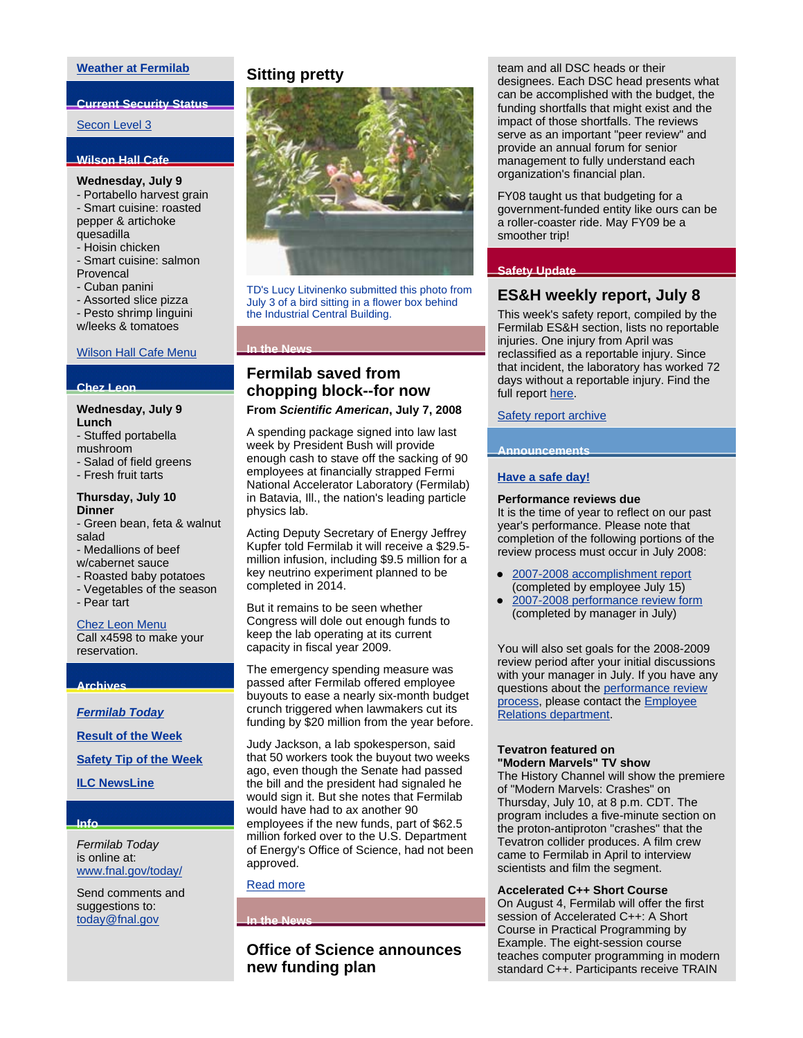#### **Weather at Fermilab**

#### **Current Security Status**

#### Secon Level 3

#### **Wilson Hall Cafe**

#### **Wednesday, July 9**

- Portabello harvest grain - Smart cuisine: roasted pepper & artichoke

quesadilla

- Hoisin chicken

- Smart cuisine: salmon Provencal
- Cuban panini
- Assorted slice pizza
- Pesto shrimp linguini w/leeks & tomatoes

## Wilson Hall Cafe Menu

#### **Chez Leon**

**Wednesday, July 9 Lunch**

- Stuffed portabella
- mushroom
- Salad of field greens
- Fresh fruit tarts

#### **Thursday, July 10 Dinner**

- Green bean, feta & walnut salad
- Medallions of beef
- w/cabernet sauce
- Roasted baby potatoes
- Vegetables of the season
- Pear tart

#### Chez Leon Menu

Call x4598 to make your reservation.

#### **Archives**

*Fermilab Today*

**Result of the Week**

**Safety Tip of the Week**

#### **ILC NewsLine**

#### **Info**

*Fermilab Today* is online at: www.fnal.gov/today/

Send comments and suggestions to: today@fnal.gov

#### **Sitting pretty**



TD's Lucy Litvinenko submitted this photo from July 3 of a bird sitting in a flower box behind the Industrial Central Building.

#### **In the News**

### **Fermilab saved from chopping block--for now**

#### **From** *Scientific American***, July 7, 2008**

A spending package signed into law last week by President Bush will provide enough cash to stave off the sacking of 90 employees at financially strapped Fermi National Accelerator Laboratory (Fermilab) in Batavia, Ill., the nation's leading particle physics lab.

Acting Deputy Secretary of Energy Jeffrey Kupfer told Fermilab it will receive a \$29.5 million infusion, including \$9.5 million for a key neutrino experiment planned to be completed in 2014.

But it remains to be seen whether Congress will dole out enough funds to keep the lab operating at its current capacity in fiscal year 2009.

The emergency spending measure was passed after Fermilab offered employee buyouts to ease a nearly six-month budget crunch triggered when lawmakers cut its funding by \$20 million from the year before.

Judy Jackson, a lab spokesperson, said that 50 workers took the buyout two weeks ago, even though the Senate had passed the bill and the president had signaled he would sign it. But she notes that Fermilab would have had to ax another 90 employees if the new funds, part of \$62.5 million forked over to the U.S. Department of Energy's Office of Science, had not been approved.

#### Read more

**In the News** 

#### **Office of Science announces new funding plan**

team and all DSC heads or their designees. Each DSC head presents what can be accomplished with the budget, the funding shortfalls that might exist and the impact of those shortfalls. The reviews serve as an important "peer review" and provide an annual forum for senior management to fully understand each organization's financial plan.

FY08 taught us that budgeting for a government-funded entity like ours can be a roller-coaster ride. May FY09 be a smoother trip!

#### **Safety Update**

#### **ES&H weekly report, July 8**

This week's safety report, compiled by the Fermilab ES&H section, lists no reportable injuries. One injury from April was reclassified as a reportable injury. Since that incident, the laboratory has worked 72 days without a reportable injury. Find the full report here.

Safety report archive

#### **Announcements**

#### **Have a safe day!**

#### **Performance reviews due**

It is the time of year to reflect on our past year's performance. Please note that completion of the following portions of the review process must occur in July 2008:

- 2007-2008 accomplishment report (completed by employee July 15)
- 2007-2008 performance review form (completed by manager in July)

You will also set goals for the 2008-2009 review period after your initial discussions with your manager in July. If you have any questions about the performance review process, please contact the Employee Relations department.

#### **Tevatron featured on "Modern Marvels" TV show**

The History Channel will show the premiere of "Modern Marvels: Crashes" on Thursday, July 10, at 8 p.m. CDT. The program includes a five-minute section on the proton-antiproton "crashes" that the Tevatron collider produces. A film crew came to Fermilab in April to interview scientists and film the segment.

#### **Accelerated C++ Short Course**

On August 4, Fermilab will offer the first session of Accelerated C++: A Short Course in Practical Programming by Example. The eight-session course teaches computer programming in modern standard C++. Participants receive TRAIN